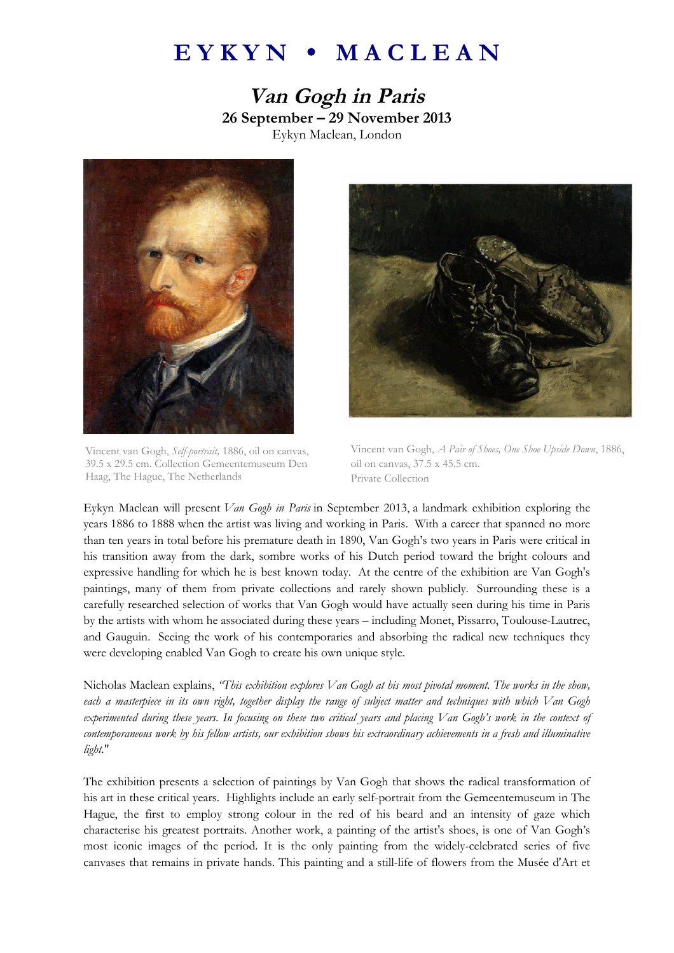## **E Y K Y N M A C L E A N**

**Van Gogh in Paris 26 September – 29 November 2013** Eykyn Maclean, London



Vincent van Gogh, *Self-portrait,* 1886, oil on canvas, 39.5 x 29.5 cm. Collection Gemeentemuseum Den Haag, The Hague, The Netherlands



Vincent van Gogh, *A Pair of Shoes, One Shoe Upside Down*, 1886, oil on canvas, 37.5 x 45.5 cm. Private Collection

Eykyn Maclean will present *Van Gogh in Paris* in September 2013, a landmark exhibition exploring the years 1886 to 1888 when the artist was living and working in Paris. With a career that spanned no more than ten years in total before his premature death in 1890, Van Gogh's two years in Paris were critical in his transition away from the dark, sombre works of his Dutch period toward the bright colours and expressive handling for which he is best known today. At the centre of the exhibition are Van Gogh's paintings, many of them from private collections and rarely shown publicly. Surrounding these is a carefully researched selection of works that Van Gogh would have actually seen during his time in Paris by the artists with whom he associated during these years – including Monet, Pissarro, Toulouse-Lautrec, and Gauguin. Seeing the work of his contemporaries and absorbing the radical new techniques they were developing enabled Van Gogh to create his own unique style.

Nicholas Maclean explains, *"This exhibition explores Van Gogh at his most pivotal moment. The works in the show, each a masterpiece in its own right, together display the range of subject matter and techniques with which Van Gogh experimented during these years. In focusing on these two critical years and placing Van Gogh's work in the context of contemporaneous work by his fellow artists, our exhibition shows his extraordinary achievements in a fresh and illuminative light*."

The exhibition presents a selection of paintings by Van Gogh that shows the radical transformation of his art in these critical years. Highlights include an early self-portrait from the Gemeentemuseum in The Hague, the first to employ strong colour in the red of his beard and an intensity of gaze which characterise his greatest portraits. Another work, a painting of the artist's shoes, is one of Van Gogh's most iconic images of the period. It is the only painting from the widely-celebrated series of five canvases that remains in private hands. This painting and a still-life of flowers from the Musée d'Art et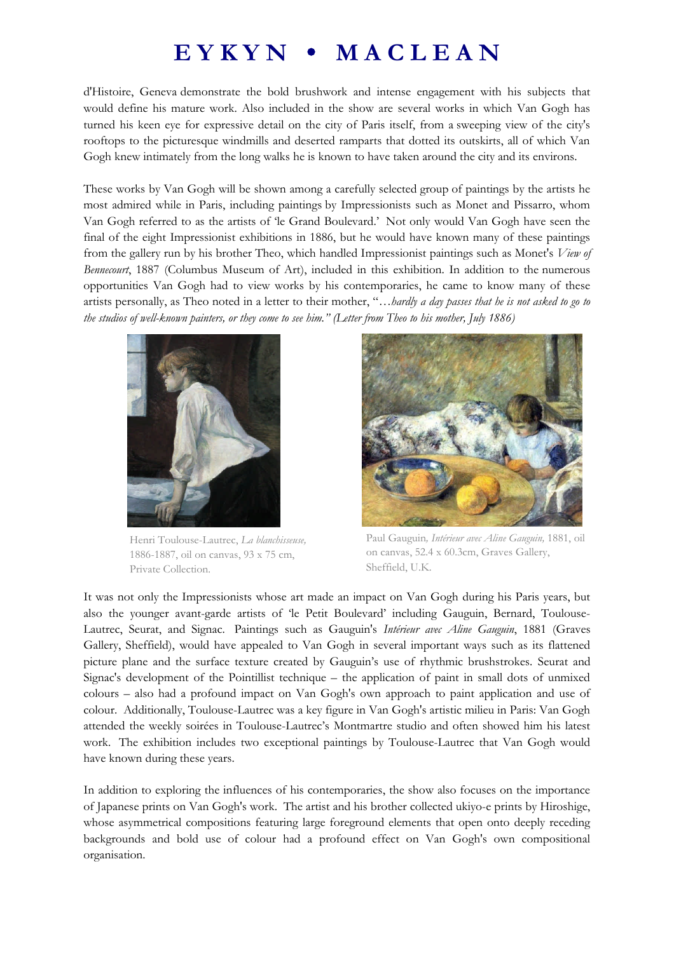## **E Y K Y N M A C L E A N**

d'Histoire, Geneva demonstrate the bold brushwork and intense engagement with his subjects that would define his mature work. Also included in the show are several works in which Van Gogh has turned his keen eye for expressive detail on the city of Paris itself, from a sweeping view of the city's rooftops to the picturesque windmills and deserted ramparts that dotted its outskirts, all of which Van Gogh knew intimately from the long walks he is known to have taken around the city and its environs.

These works by Van Gogh will be shown among a carefully selected group of paintings by the artists he most admired while in Paris, including paintings by Impressionists such as Monet and Pissarro, whom Van Gogh referred to as the artists of 'le Grand Boulevard.' Not only would Van Gogh have seen the final of the eight Impressionist exhibitions in 1886, but he would have known many of these paintings from the gallery run by his brother Theo, which handled Impressionist paintings such as Monet's *View of Bennecourt*, 1887 (Columbus Museum of Art), included in this exhibition. In addition to the numerous opportunities Van Gogh had to view works by his contemporaries, he came to know many of these artists personally, as Theo noted in a letter to their mother, "*…hardly a day passes that he is not asked to go to the studios of well-known painters, or they come to see him." (Letter from Theo to his mother, July 1886)*



Henri Toulouse-Lautrec, *La blanchisseuse,* 1886-1887, oil on canvas, 93 x 75 cm, Private Collection.



Paul Gauguin*, Intérieur avec Aline Gauguin,* 1881, oil on canvas, 52.4 x 60.3cm, Graves Gallery, Sheffield, U.K.

It was not only the Impressionists whose art made an impact on Van Gogh during his Paris years, but also the younger avant-garde artists of 'le Petit Boulevard' including Gauguin, Bernard, Toulouse-Lautrec, Seurat, and Signac. Paintings such as Gauguin's *Intérieur avec Aline Gauguin*, 1881 (Graves Gallery, Sheffield), would have appealed to Van Gogh in several important ways such as its flattened picture plane and the surface texture created by Gauguin's use of rhythmic brushstrokes. Seurat and Signac's development of the Pointillist technique – the application of paint in small dots of unmixed colours – also had a profound impact on Van Gogh's own approach to paint application and use of colour. Additionally, Toulouse-Lautrec was a key figure in Van Gogh's artistic milieu in Paris: Van Gogh attended the weekly soirées in Toulouse-Lautrec's Montmartre studio and often showed him his latest work. The exhibition includes two exceptional paintings by Toulouse-Lautrec that Van Gogh would have known during these years.

In addition to exploring the influences of his contemporaries, the show also focuses on the importance of Japanese prints on Van Gogh's work. The artist and his brother collected ukiyo-e prints by Hiroshige, whose asymmetrical compositions featuring large foreground elements that open onto deeply receding backgrounds and bold use of colour had a profound effect on Van Gogh's own compositional organisation.